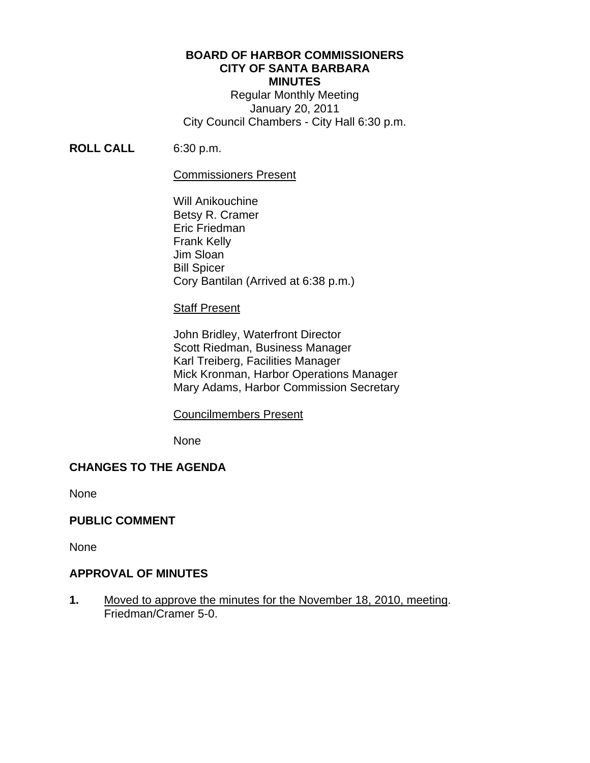# **BOARD OF HARBOR COMMISSIONERS CITY OF SANTA BARBARA MINUTES**

Regular Monthly Meeting January 20, 2011 City Council Chambers - City Hall 6:30 p.m.

# **ROLL CALL** 6:30 p.m.

## Commissioners Present

 Will Anikouchine Betsy R. Cramer Eric Friedman Frank Kelly Jim Sloan Bill Spicer Cory Bantilan (Arrived at 6:38 p.m.)

## Staff Present

 John Bridley, Waterfront Director Scott Riedman, Business Manager Karl Treiberg, Facilities Manager Mick Kronman, Harbor Operations Manager Mary Adams, Harbor Commission Secretary

## Councilmembers Present

None

# **CHANGES TO THE AGENDA**

None

# **PUBLIC COMMENT**

None

# **APPROVAL OF MINUTES**

**1.** Moved to approve the minutes for the November 18, 2010, meeting. Friedman/Cramer 5-0.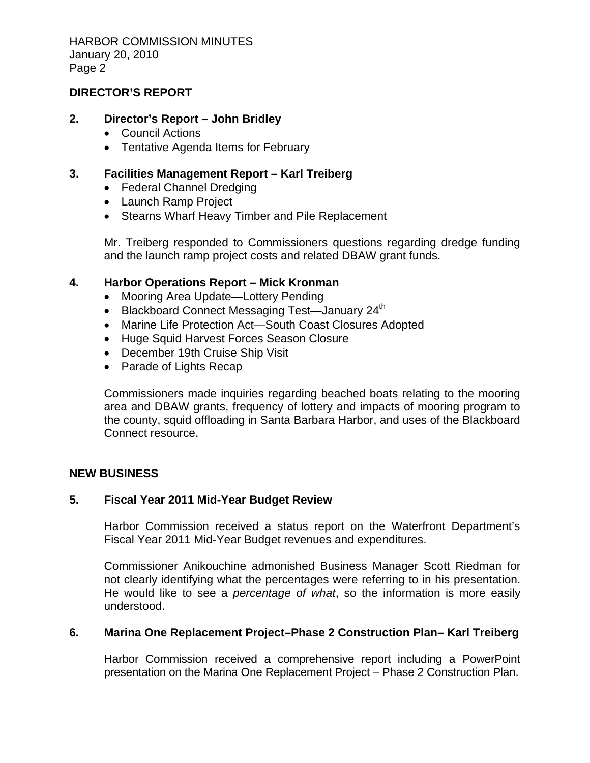HARBOR COMMISSION MINUTES January 20, 2010 Page 2

#### **DIRECTOR'S REPORT**

#### **2. Director's Report – John Bridley**

- Council Actions
- Tentative Agenda Items for February

## **3. Facilities Management Report – Karl Treiberg**

- Federal Channel Dredging
- Launch Ramp Project
- Stearns Wharf Heavy Timber and Pile Replacement

Mr. Treiberg responded to Commissioners questions regarding dredge funding and the launch ramp project costs and related DBAW grant funds.

# **4. Harbor Operations Report – Mick Kronman**

- Mooring Area Update—Lottery Pending
- Blackboard Connect Messaging Test—January  $24<sup>th</sup>$
- Marine Life Protection Act—South Coast Closures Adopted
- Huge Squid Harvest Forces Season Closure
- December 19th Cruise Ship Visit
- Parade of Lights Recap

Commissioners made inquiries regarding beached boats relating to the mooring area and DBAW grants, frequency of lottery and impacts of mooring program to the county, squid offloading in Santa Barbara Harbor, and uses of the Blackboard Connect resource.

## **NEW BUSINESS**

# **5. Fiscal Year 2011 Mid-Year Budget Review**

Harbor Commission received a status report on the Waterfront Department's Fiscal Year 2011 Mid-Year Budget revenues and expenditures.

Commissioner Anikouchine admonished Business Manager Scott Riedman for not clearly identifying what the percentages were referring to in his presentation. He would like to see a *percentage of what*, so the information is more easily understood.

# **6. Marina One Replacement Project–Phase 2 Construction Plan– Karl Treiberg**

Harbor Commission received a comprehensive report including a PowerPoint presentation on the Marina One Replacement Project – Phase 2 Construction Plan.